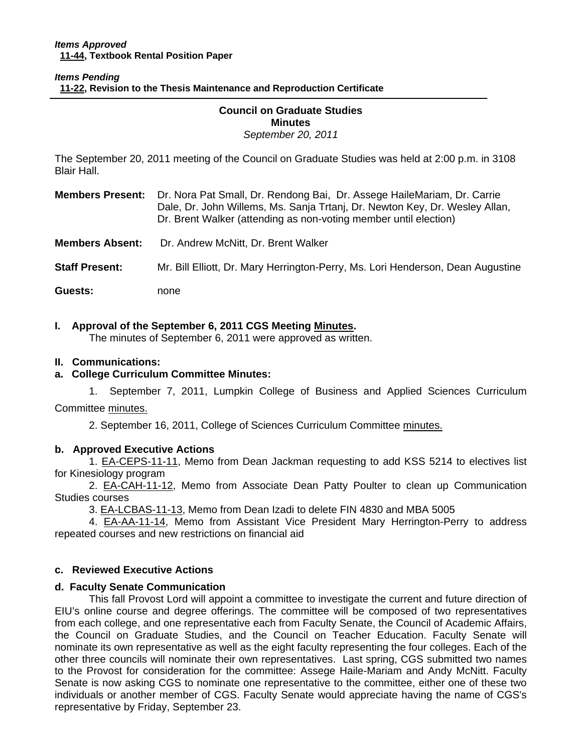### *Items Pending*  **[11-22, Re](http://castle.eiu.edu/~eiucgs/currentagendaitems/agenda11-22.pdf)vision to the Thesis Maintenance and Reproduction Certificate**

### **Council on Graduate Studies Minutes**  *September 20, 2011*

The September 20, 2011 meeting of the Council on Graduate Studies was held at 2:00 p.m. in 3108 Blair Hall.

**Members Present:** Dr. Nora Pat Small, Dr. Rendong Bai, Dr. Assege HaileMariam, Dr. Carrie Dale, Dr. John Willems, Ms. Sanja Trtanj, Dr. Newton Key, Dr. Wesley Allan, Dr. Brent Walker (attending as non-voting member until election)

**Members Absent:** Dr. Andrew McNitt, Dr. Brent Walker

**Staff Present:** Mr. Bill Elliott, Dr. Mary Herrington-Perry, Ms. Lori Henderson, Dean Augustine

**Guests:** none

# **I. Approval of the September 6, 2011 CGS Meeting Minutes.**

The minutes of September 6, 2011 were appr[oved as written.](http://castle.eiu.edu/eiucgs/currentminutes/Minutes9-6-11.pdf) 

### **II. Communications:**

# **a. College Curriculum Committee Minutes:**

1. September 7, 2011, Lumpkin College of Business and Applied Sciences Curriculum

Commit[tee minutes.](http://castle.eiu.edu/~eiucgs/currentagendaitems/LCBASMin9-7-11.pdf) 

2. September 16, 2011, College of Sciences Curriculum Com[mittee minutes.](http://castle.eiu.edu/~eiucgs/currentagendaitems/COSMin9-16-11.pdf) 

# **b. Approved Executive Actions**

[1. EA-CEPS-11-11, M](http://castle.eiu.edu/~eiucgs/exec-actions/EA-CEPS-11-11.pdf)emo from Dean Jackman requesting to add KSS 5214 to electives list for Kinesiology program

2. **EA-CAH-11-12**, Memo from Associate Dean Patty Poulter to clean up Communication Studies courses

[3. EA-LCBAS-11-13, Me](http://castle.eiu.edu/~eiucgs/exec-actions/EA-LCBAS-11-13.pdf)mo from Dean Izadi to delete FIN 4830 and MBA 5005

4. [EA-AA-11-14, M](http://castle.eiu.edu/~eiucgs/exec-actions/EA-AA-11-14.pdf)emo from Assistant Vice President Mary Herrington-Perry to address repeated courses and new restrictions on financial aid

### **c. Reviewed Executive Actions**

# **d. Faculty Senate Communication**

This fall Provost Lord will appoint a committee to investigate the current and future direction of EIU's online course and degree offerings. The committee will be composed of two representatives from each college, and one representative each from Faculty Senate, the Council of Academic Affairs, the Council on Graduate Studies, and the Council on Teacher Education. Faculty Senate will nominate its own representative as well as the eight faculty representing the four colleges. Each of the other three councils will nominate their own representatives. Last spring, CGS submitted two names to the Provost for consideration for the committee: Assege Haile-Mariam and Andy McNitt. Faculty Senate is now asking CGS to nominate one representative to the committee, either one of these two individuals or another member of CGS. Faculty Senate would appreciate having the name of CGS's representative by Friday, September 23.